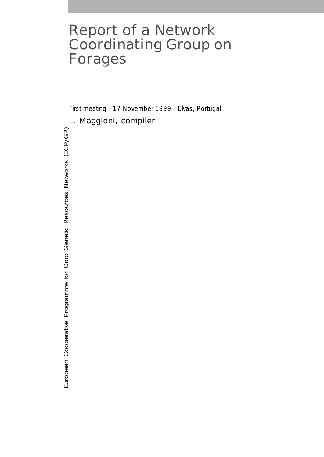# Report of a Network Coordinating Group on Forages

First meeting - 17 November 1999 - Elvas, Portugal

# L. Maggioni, *compiler*

European Cooperative Programme for Crop Genetic Resources Networks (ECP/GR) European Cooperative Programme for Crop Genetic Resources Networks (ECP/GR)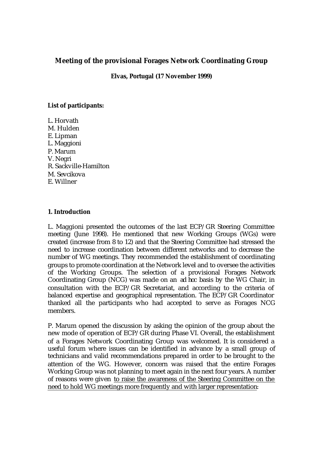# **Meeting of the provisional Forages Network Coordinating Group**

**Elvas, Portugal (17 November 1999)**

# **List of participants:**

L. Horvath M. Hulden E. Lipman L. Maggioni P. Marum V. Negri R. Sackville-Hamilton M. Sevcikova E. Willner

# **1. Introduction**

L. Maggioni presented the outcomes of the last ECP/GR Steering Committee meeting (June 1998). He mentioned that new Working Groups (WGs) were created (increase from 8 to 12) and that the Steering Committee had stressed the need to increase coordination between different networks and to decrease the number of WG meetings. They recommended the establishment of coordinating groups to promote coordination at the Network level and to oversee the activities of the Working Groups. The selection of a provisional Forages Network Coordinating Group (NCG) was made on an *ad hoc* basis by the WG Chair, in consultation with the ECP/GR Secretariat, and according to the criteria of balanced expertise and geographical representation. The ECP/GR Coordinator thanked all the participants who had accepted to serve as Forages NCG members.

P. Marum opened the discussion by asking the opinion of the group about the new mode of operation of ECP/GR during Phase VI. Overall, the establishment of a Forages Network Coordinating Group was welcomed. It is considered a useful forum where issues can be identified in advance by a small group of technicians and valid recommendations prepared in order to be brought to the attention of the WG. However, concern was raised that the entire Forages Working Group was not planning to meet again in the next four years. A number of reasons were given to raise the awareness of the Steering Committee on the need to hold WG meetings more frequently and with larger representation: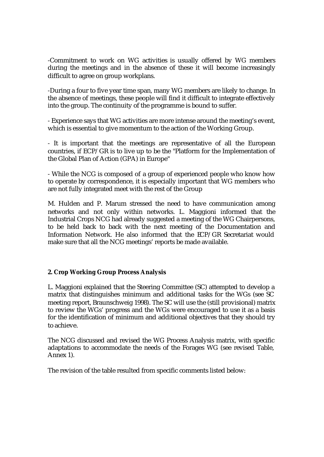-Commitment to work on WG activities is usually offered by WG members during the meetings and in the absence of these it will become increasingly difficult to agree on group workplans.

-During a four to five year time span, many WG members are likely to change. In the absence of meetings, these people will find it difficult to integrate effectively into the group. The continuity of the programme is bound to suffer.

- Experience says that WG activities are more intense around the meeting's event, which is essential to give momentum to the action of the Working Group.

- It is important that the meetings are representative of all the European countries, if ECP/GR is to live up to be the "Platform for the Implementation of the Global Plan of Action (GPA) in Europe"

- While the NCG is composed of a group of experienced people who know how to operate by correspondence, it is especially important that WG members who are not fully integrated meet with the rest of the Group

M. Hulden and P. Marum stressed the need to have communication among networks and not only within networks. L. Maggioni informed that the Industrial Crops NCG had already suggested a meeting of the WG Chairpersons, to be held back to back with the next meeting of the Documentation and Information Network. He also informed that the ECP/GR Secretariat would make sure that all the NCG meetings' reports be made available.

# **2. Crop Working Group Process Analysis**

L. Maggioni explained that the Steering Committee (SC) attempted to develop a matrix that distinguishes minimum and additional tasks for the WGs (see SC meeting report, Braunschweig 1998). The SC will use the (still provisional) matrix to review the WGs' progress and the WGs were encouraged to use it as a basis for the identification of minimum and additional objectives that they should try to achieve.

The NCG discussed and revised the WG Process Analysis matrix, with specific adaptations to accommodate the needs of the Forages WG (see revised Table, Annex 1).

The revision of the table resulted from specific comments listed below: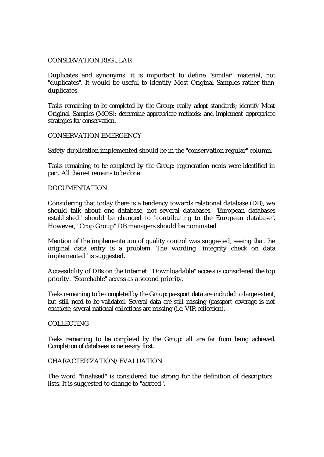#### CONSERVATION REGULAR

Duplicates and synonyms: it is important to define "similar" material, not "duplicates". It would be useful to identify Most Original Samples rather than duplicates.

*Tasks remaining to be completed by the Group: really adopt standards; identify Most Original Samples (MOS); determine appropriate methods; and implement appropriate strategies for conservation.*

#### CONSERVATION EMERGENCY

Safety duplication implemented should be in the "conservation regular" column.

*Tasks remaining to be completed by the Group: regeneration needs were identified in part. All the rest remains to be done*

#### DOCUMENTATION

Considering that today there is a tendency towards relational database (DB), we should talk about one database, not several databases. "European databases established" should be changed to "contributing to the European database". However, "Crop Group" DB managers should be nominated

Mention of the implementation of quality control was suggested, seeing that the original data entry is a problem. The wording "integrity check on data implemented" is suggested.

Accessibility of DBs on the Internet: "Downloadable" access is considered the top priority. "Searchable" access as a second priority.

*Tasks remaining to be completed by the Group: passport data are included to large extent, but still need to be validated. Several data are still missing (passport coverage is not complete, several national collections are missing (i.e. VIR collection).* 

# **COLLECTING**

*Tasks remaining to be completed by the Group: all are far from being achieved. Completion of databases is necessary first.*

# CHARACTERIZATION/EVALUATION

The word "finalised" is considered too strong for the definition of descriptors' lists. It is suggested to change to "agreed".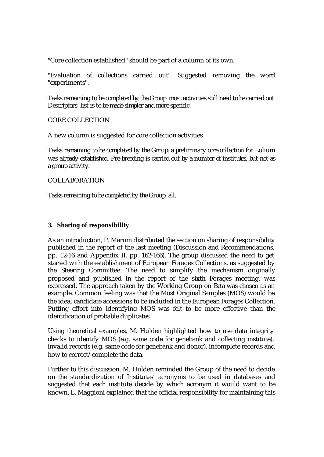"Core collection established" should be part of a column of its own.

"Evaluation of collections carried out". Suggested removing the word "experiments".

*Tasks remaining to be completed by the Group: most activities still need to be carried out. Descriptors' list is to be made simpler and more specific.*

CORE COLLECTION

A new column is suggested for core collection activities

*Tasks remaining to be completed by the Group: a preliminary core collection for* Lolium *was already established. Pre-breeding is carried out by a number of institutes, but not as a group activity.*

COLLABORATION

*Tasks remaining to be completed by the Group: all.*

# **3. Sharing of responsibility**

As an introduction, P. Marum distributed the section on sharing of responsibility published in the report of the last meeting (Discussion and Recommendations, pp. 12-16 and Appendix II, pp. 162-166). The group discussed the need to get started with the establishment of European Forages Collections, as suggested by the Steering Committee. The need to simplify the mechanism originally proposed and published in the report of the sixth Forages meeting, was expressed. The approach taken by the Working Group on *Beta* was chosen as an example. Common feeling was that the Most Original Samples (MOS) would be the ideal candidate accessions to be included in the European Forages Collection. Putting effort into identifying MOS was felt to be more effective than the identification of probable duplicates.

Using theoretical examples, M. Hulden highlighted how to use data integrity checks to identify MOS (e.g. same code for genebank and collecting institute), invalid records (e.g. same code for genebank and donor), incomplete records and how to correct/complete the data.

Further to this discussion, M. Hulden reminded the Group of the need to decide on the standardization of Institutes' acronyms to be used in databases and suggested that each institute decide by which acronym it would want to be known. L. Maggioni explained that the official responsibility for maintaining this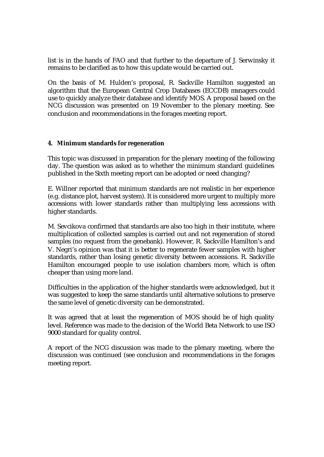list is in the hands of FAO and that further to the departure of J. Serwinsky it remains to be clarified as to how this update would be carried out.

On the basis of M. Hulden's proposal, R. Sackville Hamilton suggested an algorithm that the European Central Crop Databases (ECCDB) managers could use to quickly analyze their database and identify MOS. A proposal based on the NCG discussion was presented on 19 November to the plenary meeting. See conclusion and recommendations in the forages meeting report.

# **4. Minimum standards for regeneration**

This topic was discussed in preparation for the plenary meeting of the following day. The question was asked as to whether the minimum standard guidelines published in the Sixth meeting report can be adopted or need changing?

E. Willner reported that minimum standards are not realistic in her experience (e.g. distance plot, harvest system). It is considered more urgent to multiply more accessions with lower standards rather than multiplying less accessions with higher standards.

M. Sevcikova confirmed that standards are also too high in their institute, where multiplication of collected samples is carried out and not regeneration of stored samples (no request from the genebank). However, R. Sackville Hamilton's and V. Negri's opinion was that it is better to regenerate fewer samples with higher standards, rather than losing genetic diversity between accessions. R. Sackville Hamilton encouraged people to use isolation chambers more, which is often cheaper than using more land.

Difficulties in the application of the higher standards were acknowledged, but it was suggested to keep the same standards until alternative solutions to preserve the same level of genetic diversity can be demonstrated.

It was agreed that at least the regeneration of MOS should be of high quality level. Reference was made to the decision of the World Beta Network to use ISO 9000 standard for quality control.

A report of the NCG discussion was made to the plenary meeting, where the discussion was continued (see conclusion and recommendations in the forages meeting report.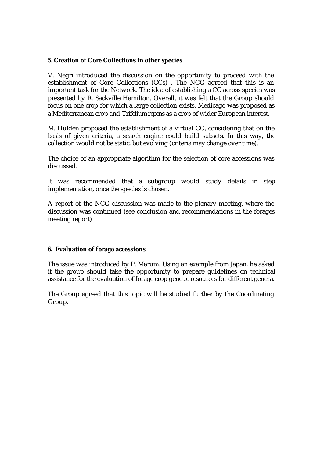# **5. Creation of Core Collections in other species**

V. Negri introduced the discussion on the opportunity to proceed with the establishment of Core Collections (CCs) . The NCG agreed that this is an important task for the Network. The idea of establishing a CC across species was presented by R. Sackville Hamilton. Overall, it was felt that the Group should focus on one crop for which a large collection exists. Medicago was proposed as a Mediterranean crop and *Trifolium repens* as a crop of wider European interest.

M. Hulden proposed the establishment of a virtual CC, considering that on the basis of given criteria, a search engine could build subsets. In this way, the collection would not be static, but evolving (criteria may change over time).

The choice of an appropriate algorithm for the selection of core accessions was discussed.

It was recommended that a subgroup would study details in step implementation, once the species is chosen.

A report of the NCG discussion was made to the plenary meeting, where the discussion was continued (see conclusion and recommendations in the forages meeting report)

# **6. Evaluation of forage accessions**

The issue was introduced by P. Marum. Using an example from Japan, he asked if the group should take the opportunity to prepare guidelines on technical assistance for the evaluation of forage crop genetic resources for different genera.

The Group agreed that this topic will be studied further by the Coordinating Group.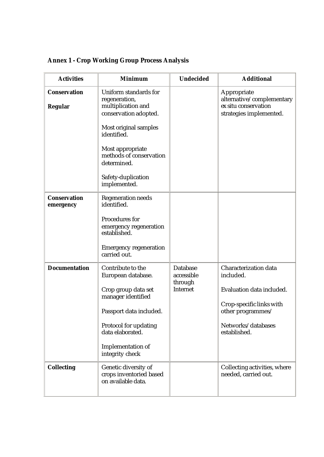| <b>Annex 1 - Crop Working Group Process Analysis</b> |  |  |  |  |
|------------------------------------------------------|--|--|--|--|
|------------------------------------------------------|--|--|--|--|

| <b>Activities</b>                     | <b>Minimum</b>                                                                                                                                                                                                                           | <b>Undecided</b>                                            | <b>Additional</b>                                                                                                                                             |
|---------------------------------------|------------------------------------------------------------------------------------------------------------------------------------------------------------------------------------------------------------------------------------------|-------------------------------------------------------------|---------------------------------------------------------------------------------------------------------------------------------------------------------------|
| <b>Conservation</b><br><b>Regular</b> | <b>Uniform standards for</b><br>regeneration,<br>multiplication and<br>conservation adopted.<br>Most original samples<br>identified.<br>Most appropriate<br>methods of conservation<br>determined.<br>Safety-duplication<br>implemented. |                                                             | Appropriate<br>alternative/complementary<br>ex situ conservation<br>strategies implemented.                                                                   |
| <b>Conservation</b><br>emergency      | <b>Regeneration needs</b><br>identified.<br><b>Procedures for</b><br>emergency regeneration<br>established.<br><b>Emergency regeneration</b><br>carried out.                                                                             |                                                             |                                                                                                                                                               |
| <b>Documentation</b>                  | Contribute to the<br>European database.<br>Crop group data set<br>manager identified<br>Passport data included.<br><b>Protocol for updating</b><br>data elaborated.<br><b>Implementation of</b><br>integrity check                       | <b>Database</b><br>accessible<br>through<br><b>Internet</b> | <b>Characterization data</b><br>included.<br>Evaluation data included.<br>Crop-specific links with<br>other programmes/<br>Networks/databases<br>established. |
| <b>Collecting</b>                     | Genetic diversity of<br>crops inventoried based<br>on available data.                                                                                                                                                                    |                                                             | Collecting activities, where<br>needed, carried out.                                                                                                          |